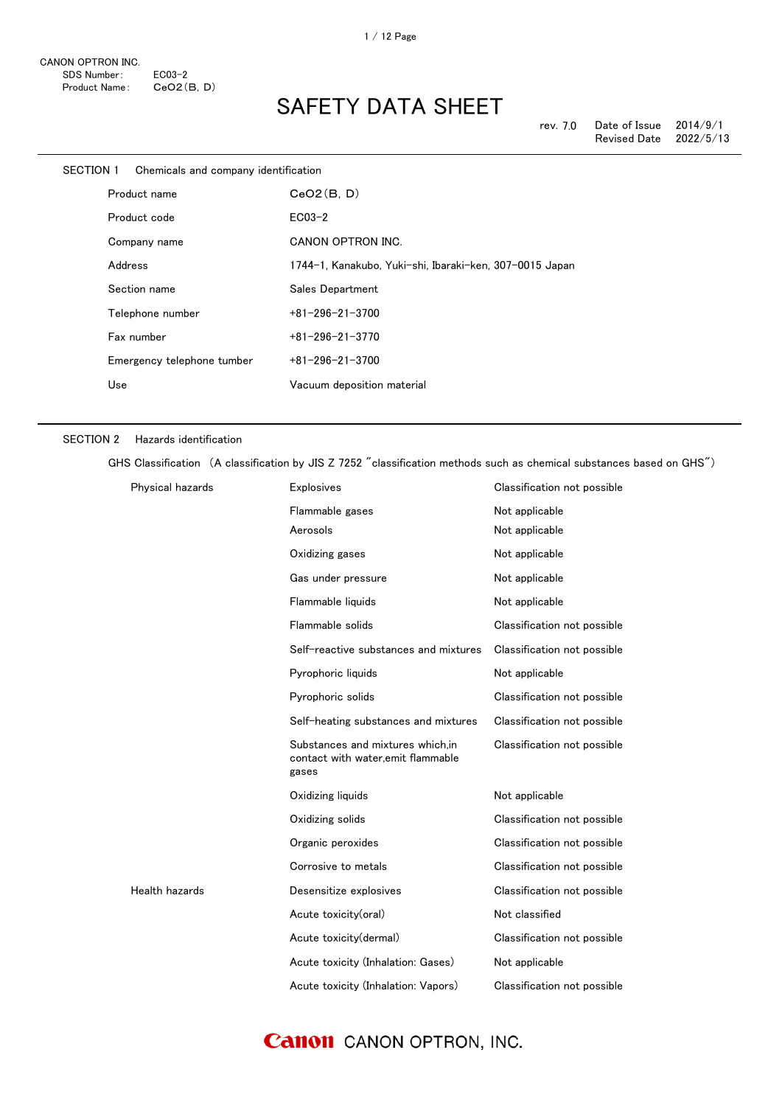| SECTION 1 Chemicals and company identification |                                                         |
|------------------------------------------------|---------------------------------------------------------|
| Product name                                   | CeO2(B, D)                                              |
| Product code                                   | $ECO3-2$                                                |
| Company name                                   | <b>CANON OPTRON INC.</b>                                |
| Address                                        | 1744-1, Kanakubo, Yuki-shi, Ibaraki-ken, 307-0015 Japan |
| Section name                                   | Sales Department                                        |
| Telephone number                               | $+81 - 296 - 21 - 3700$                                 |
| Fax number                                     | $+81 - 296 - 21 - 3770$                                 |
| Emergency telephone tumber                     | $+81 - 296 - 21 - 3700$                                 |
| Use                                            | Vacuum deposition material                              |
|                                                |                                                         |

### SECTION 2 Hazards identification

GHS Classification (A classification by JIS Z 7252 "classification methods such as chemical substances based on GHS")

| Physical hazards | <b>Explosives</b>                                                                | Classification not possible |
|------------------|----------------------------------------------------------------------------------|-----------------------------|
|                  | Flammable gases                                                                  | Not applicable              |
|                  | Aerosols                                                                         | Not applicable              |
|                  | Oxidizing gases                                                                  | Not applicable              |
|                  | Gas under pressure                                                               | Not applicable              |
|                  | Flammable liquids                                                                | Not applicable              |
|                  | Flammable solids                                                                 | Classification not possible |
|                  | Self-reactive substances and mixtures                                            | Classification not possible |
|                  | Pyrophoric liquids                                                               | Not applicable              |
|                  | Pyrophoric solids                                                                | Classification not possible |
|                  | Self-heating substances and mixtures                                             | Classification not possible |
|                  | Substances and mixtures which, in<br>contact with water, emit flammable<br>gases | Classification not possible |
|                  | Oxidizing liquids                                                                | Not applicable              |
|                  | Oxidizing solids                                                                 | Classification not possible |
|                  | Organic peroxides                                                                | Classification not possible |
|                  | Corrosive to metals                                                              | Classification not possible |
| Health hazards   | Desensitize explosives                                                           | Classification not possible |
|                  | Acute toxicity(oral)                                                             | Not classified              |
|                  | Acute toxicity(dermal)                                                           | Classification not possible |
|                  | Acute toxicity (Inhalation: Gases)                                               | Not applicable              |
|                  | Acute toxicity (Inhalation: Vapors)                                              | Classification not possible |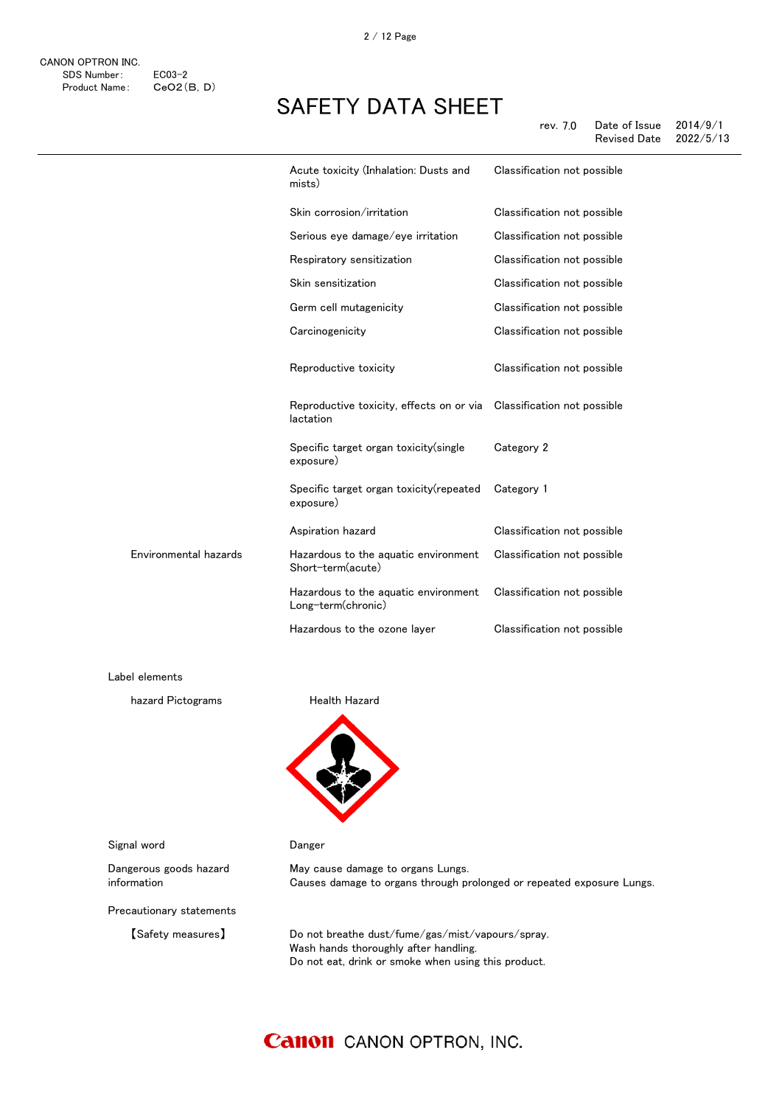|                       | Acute toxicity (Inhalation: Dusts and<br>mists)            | Classification not possible |
|-----------------------|------------------------------------------------------------|-----------------------------|
|                       | Skin corrosion/irritation                                  | Classification not possible |
|                       | Serious eye damage/eye irritation                          | Classification not possible |
|                       | Respiratory sensitization                                  | Classification not possible |
|                       | Skin sensitization                                         | Classification not possible |
|                       | Germ cell mutagenicity                                     | Classification not possible |
|                       | Carcinogenicity                                            | Classification not possible |
|                       | Reproductive toxicity                                      | Classification not possible |
|                       | Reproductive toxicity, effects on or via<br>lactation      | Classification not possible |
|                       | Specific target organ toxicity(single<br>exposure)         | Category 2                  |
|                       | Specific target organ toxicity (repeated<br>exposure)      | Category 1                  |
|                       | Aspiration hazard                                          | Classification not possible |
| Environmental hazards | Hazardous to the aquatic environment<br>Short-term(acute)  | Classification not possible |
|                       | Hazardous to the aquatic environment<br>Long-term(chronic) | Classification not possible |
|                       | Hazardous to the ozone layer                               | Classification not possible |

Label elements

hazard Pictograms **Health Hazard** 



Signal word **Danger** 

information

Dangerous goods hazard

May cause damage to organs Lungs. Causes damage to organs through prolonged or repeated exposure Lungs.

Precautionary statements

【Safety measures】 Do not breathe dust/fume/gas/mist/vapours/spray. Wash hands thoroughly after handling. Do not eat, drink or smoke when using this product.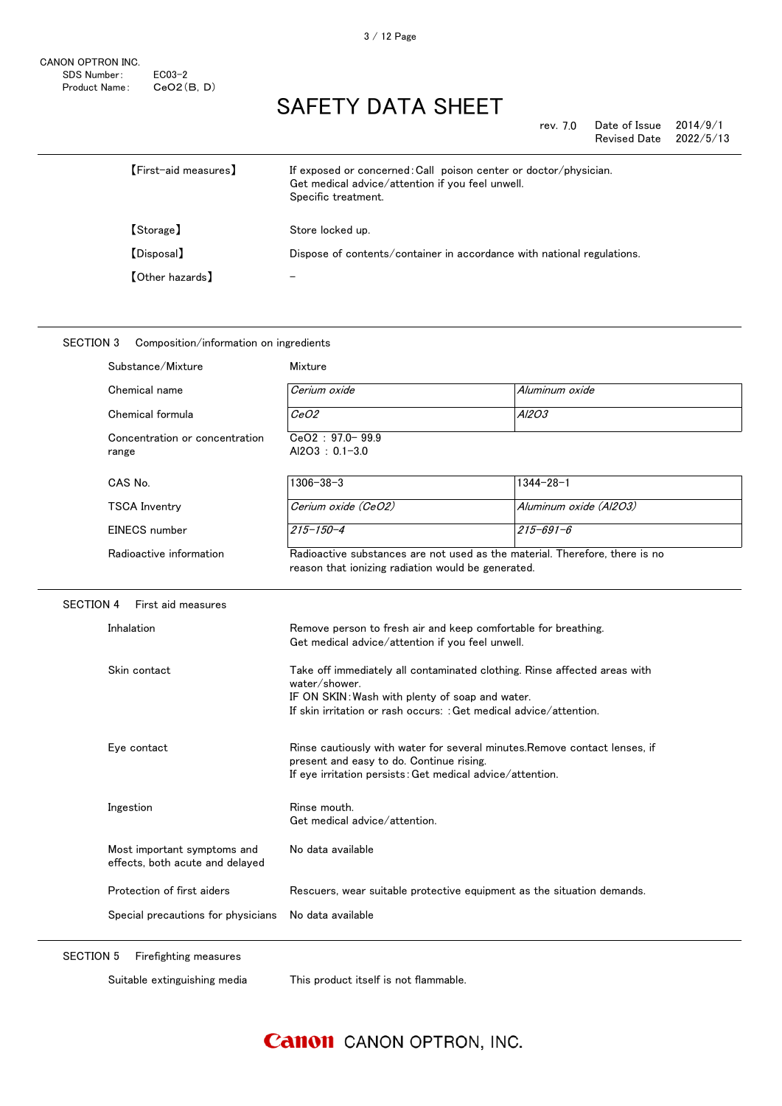SECTION 3 Composition/information on ingredients

### SAFETY DATA SHEET

| rev. 7.0 | Date of Issue | 2014/9/1  |
|----------|---------------|-----------|
|          | Revised Date  | 2022/5/13 |

| <b>[First-aid measures]</b> | If exposed or concerned: Call poison center or doctor/physician.<br>Get medical advice/attention if you feel unwell.<br>Specific treatment. |
|-----------------------------|---------------------------------------------------------------------------------------------------------------------------------------------|
| 【Storage】                   | Store locked up.                                                                                                                            |
| [Disposal]                  | Dispose of contents/container in accordance with national regulations.                                                                      |
| <b>[Other hazards]</b>      |                                                                                                                                             |

### Inhalation **Remove person to fresh air and keep comfortable for breathing.** Get medical advice/attention if you feel unwell. Skin contact Take off immediately all contaminated clothing. Rinse affected areas with water/shower. IF ON SKIN:Wash with plenty of soap and water. If skin irritation or rash occurs: :Get medical advice/attention. Eye contact **Rinse cautiously with water for several minutes.Remove contact lenses**, if present and easy to do. Continue rising. If eye irritation persists:Get medical advice/attention. EINECS number 215-150-4 215-691-6 Radioactive information Radioactive substances are not used as the material. Therefore, there is no reason that ionizing radiation would be generated. SECTION 4 First aid measures Concentration or concentration range CeO2 : 97.0- 99.9 Al2O3 : 0.1-3.0 CAS No. 1306-38-3 1306-38-3 1344-28-1 TSCA Inventry Cerium oxide (CeO2) Aluminum oxide (Al2O3) Chemical name Cerium oxide Aluminum oxide Aluminum oxide Chemical formula  $\overline{CeO2}$  Al2O3 Substance/Mixture Mixture

Special precautions for physicians No data available Most important symptoms and effects, both acute and delayed No data available Protection of first aiders **Rescuers**, wear suitable protective equipment as the situation demands.

SECTION 5 Firefighting measures

Ingestion **Rinse mouth.** 

Suitable extinguishing media This product itself is not flammable.

Get medical advice/attention.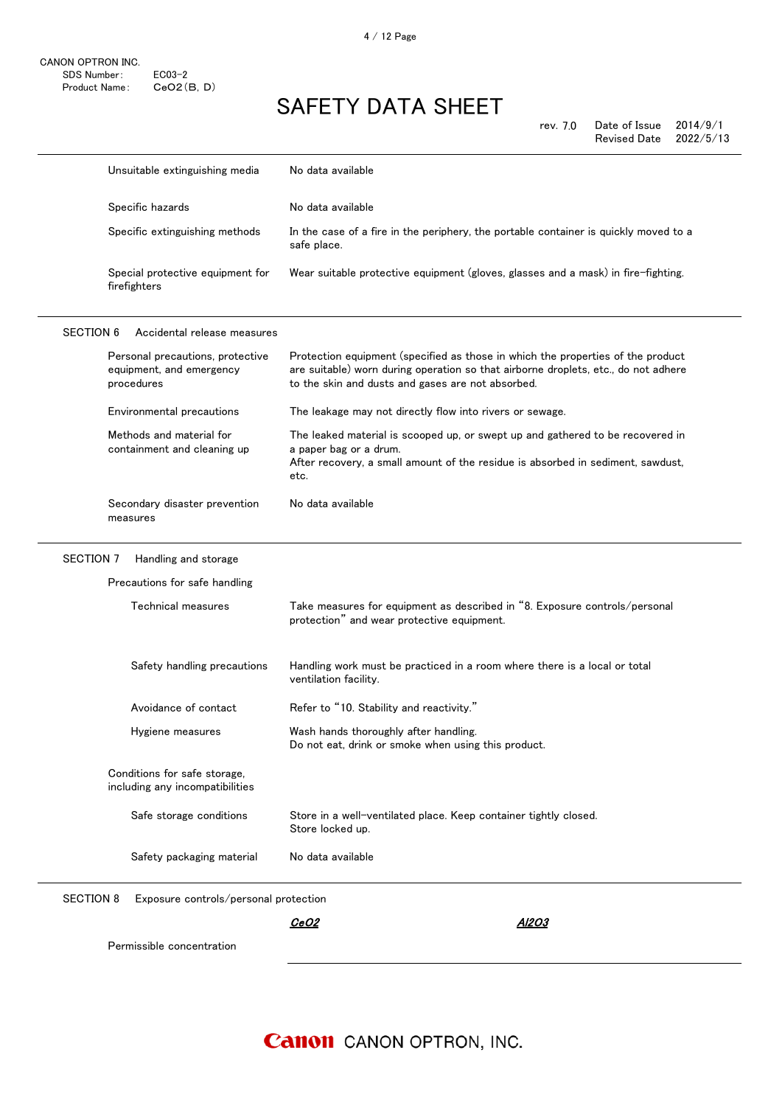|                  | Unsuitable extinguishing media                                             | No data available                                                                                                                                                                                                          |
|------------------|----------------------------------------------------------------------------|----------------------------------------------------------------------------------------------------------------------------------------------------------------------------------------------------------------------------|
|                  | Specific hazards                                                           | No data available                                                                                                                                                                                                          |
|                  | Specific extinguishing methods                                             | In the case of a fire in the periphery, the portable container is quickly moved to a<br>safe place.                                                                                                                        |
|                  | Special protective equipment for<br>firefighters                           | Wear suitable protective equipment (gloves, glasses and a mask) in fire-fighting.                                                                                                                                          |
| <b>SECTION 6</b> | Accidental release measures                                                |                                                                                                                                                                                                                            |
|                  | Personal precautions, protective<br>equipment, and emergency<br>procedures | Protection equipment (specified as those in which the properties of the product<br>are suitable) worn during operation so that airborne droplets, etc., do not adhere<br>to the skin and dusts and gases are not absorbed. |
|                  | Environmental precautions                                                  | The leakage may not directly flow into rivers or sewage.                                                                                                                                                                   |
|                  | Methods and material for<br>containment and cleaning up                    | The leaked material is scooped up, or swept up and gathered to be recovered in<br>a paper bag or a drum.<br>After recovery, a small amount of the residue is absorbed in sediment, sawdust,<br>etc.                        |
|                  | Secondary disaster prevention<br>measures                                  | No data available                                                                                                                                                                                                          |
|                  |                                                                            |                                                                                                                                                                                                                            |
| SECTION 7        | Handling and storage                                                       |                                                                                                                                                                                                                            |
|                  | Precautions for safe handling                                              |                                                                                                                                                                                                                            |
|                  | Technical measures                                                         | Take measures for equipment as described in "8. Exposure controls/personal<br>protection" and wear protective equipment.                                                                                                   |
|                  | Safety handling precautions                                                | Handling work must be practiced in a room where there is a local or total<br>ventilation facility.                                                                                                                         |
|                  | Avoidance of contact                                                       | Refer to "10. Stability and reactivity."                                                                                                                                                                                   |
|                  | Hygiene measures                                                           | Wash hands thoroughly after handling.<br>Do not eat, drink or smoke when using this product.                                                                                                                               |
|                  | Conditions for safe storage,<br>including any incompatibilities            |                                                                                                                                                                                                                            |
|                  | Safe storage conditions                                                    | Store in a well-ventilated place. Keep container tightly closed.<br>Store locked up.                                                                                                                                       |
|                  | Safety packaging material                                                  | No data available                                                                                                                                                                                                          |
| <b>SECTION 8</b> | Exposure controls/personal protection                                      |                                                                                                                                                                                                                            |
|                  |                                                                            | <u>AI2O3</u><br><u>CeO2</u>                                                                                                                                                                                                |
|                  | Permissible concentration                                                  |                                                                                                                                                                                                                            |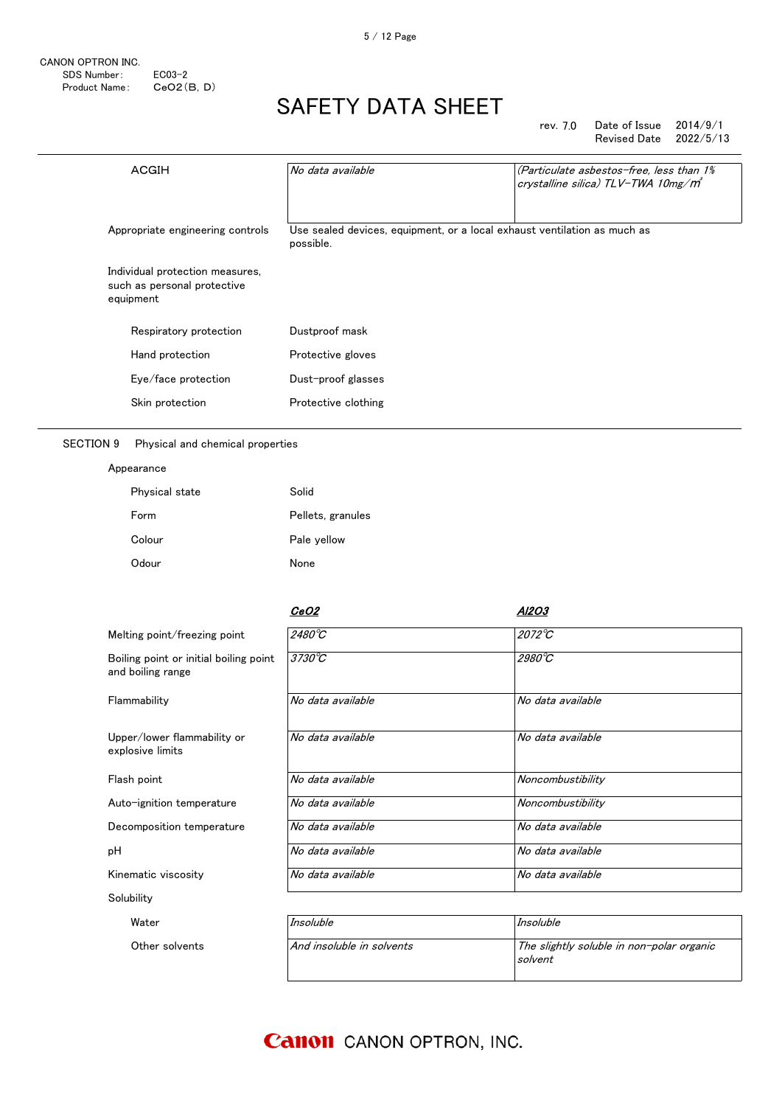### rev. 7.0 Date of Issue 2014/9/1 Revised Date

| ACGIH                                                                       | No data available                                                                     | (Particulate asbestos-free, less than 1%<br>crystalline silica) TLV-TWA 10mg/m <sup>3</sup> |
|-----------------------------------------------------------------------------|---------------------------------------------------------------------------------------|---------------------------------------------------------------------------------------------|
| Appropriate engineering controls                                            | Use sealed devices, equipment, or a local exhaust ventilation as much as<br>possible. |                                                                                             |
| Individual protection measures,<br>such as personal protective<br>equipment |                                                                                       |                                                                                             |
| Respiratory protection                                                      | Dustproof mask                                                                        |                                                                                             |
| Hand protection                                                             | Protective gloves                                                                     |                                                                                             |
| Eye/face protection                                                         | Dust-proof glasses                                                                    |                                                                                             |
| Skin protection                                                             | Protective clothing                                                                   |                                                                                             |

SECTION 9 Physical and chemical properties

#### Appearance

| Physical state | Solid             |
|----------------|-------------------|
| Form           | Pellets, granules |
| Colour         | Pale yellow       |
| Odour          | None              |

|                                                             | <i>CeO2</i>               | Al2O3                                     |
|-------------------------------------------------------------|---------------------------|-------------------------------------------|
| Melting point/freezing point                                | 2480 $\overline{C}$       | 2072°C                                    |
| Boiling point or initial boiling point<br>and boiling range | $3730^{\circ}C$           | 2980°C                                    |
| Flammability                                                | No data available         | No data available                         |
| Upper/lower flammability or<br>explosive limits             | No data available         | No data available                         |
| Flash point                                                 | No data available         | Noncombustibility                         |
| Auto-ignition temperature                                   | No data available         | Noncombustibility                         |
| Decomposition temperature                                   | No data available         | No data available                         |
| рH                                                          | No data available         | No data available                         |
| Kinematic viscosity                                         | No data available         | No data available                         |
| Solubility                                                  |                           |                                           |
| Water                                                       | Insoluble                 | Insoluble                                 |
| Other solvents                                              | And insoluble in solvents | The slightly soluble in non-polar organic |

solvent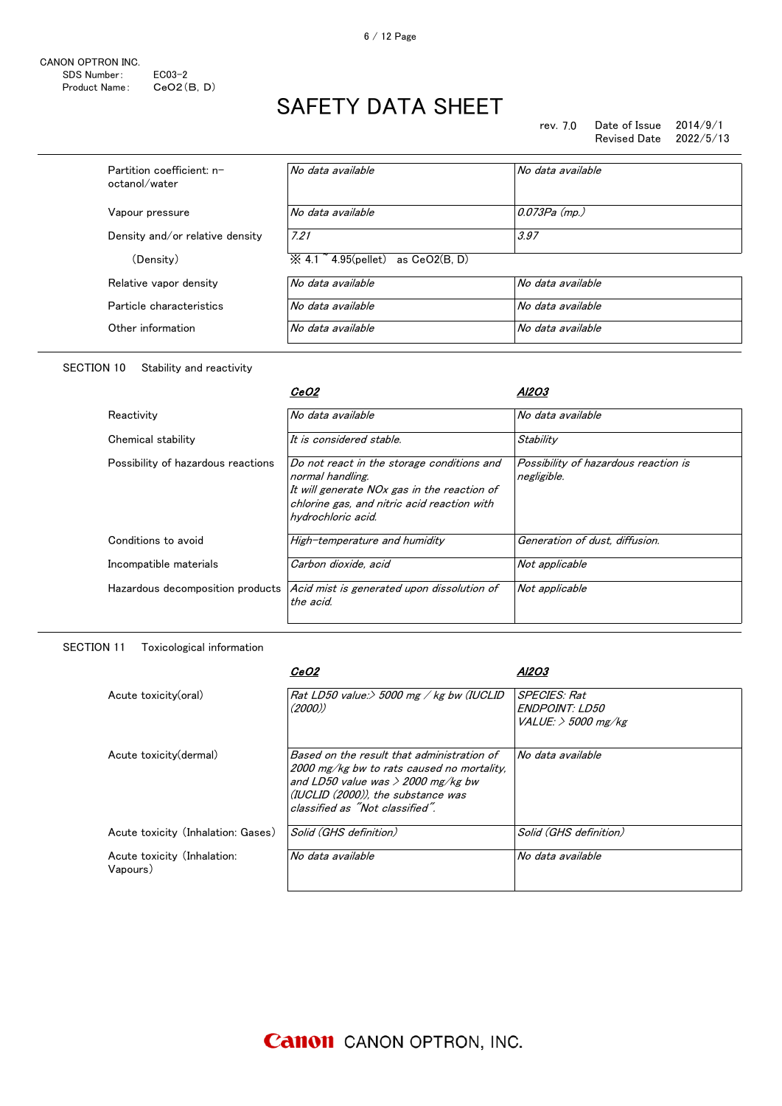rev. 7.0 Date of Issue 2014/9/1 Revised Date

| Partition coefficient: n-<br>octanol/water | No data available                                            | No data available |
|--------------------------------------------|--------------------------------------------------------------|-------------------|
| Vapour pressure                            | No data available                                            | $0.073Pa$ (mp.)   |
| Density and/or relative density            | 7.21                                                         | 3.97              |
| (Density)                                  | $\overline{\times}$ 4.1 $\degree$ 4.95(pellet) as CeO2(B, D) |                   |
| Relative vapor density                     | No data available                                            | No data available |
| Particle characteristics                   | No data available                                            | No data available |
| Other information                          | No data available                                            | No data available |

### SECTION 10 Stability and reactivity

|                                    | <i>CeO2</i>                                                                                                                                                                        | AI2O.                                               |
|------------------------------------|------------------------------------------------------------------------------------------------------------------------------------------------------------------------------------|-----------------------------------------------------|
| Reactivity                         | No data available                                                                                                                                                                  | No data available                                   |
| Chemical stability                 | It is considered stable.                                                                                                                                                           | Stability                                           |
| Possibility of hazardous reactions | Do not react in the storage conditions and<br>normal handling.<br>It will generate NOx gas in the reaction of<br>chlorine gas, and nitric acid reaction with<br>hvdrochloric acid. | Possibility of hazardous reaction is<br>negligible. |
| Conditions to avoid                | High-temperature and humidity                                                                                                                                                      | Generation of dust, diffusion.                      |
| Incompatible materials             | Carbon dioxide, acid                                                                                                                                                               | Not applicable                                      |
| Hazardous decomposition products   | Acid mist is generated upon dissolution of<br>the acid.                                                                                                                            | Not applicable                                      |

### SECTION 11 Toxicological information

|                                         | <i>CeO2</i>                                                                                                                                                                                               | Al2O3                                                            |
|-----------------------------------------|-----------------------------------------------------------------------------------------------------------------------------------------------------------------------------------------------------------|------------------------------------------------------------------|
| Acute toxicity(oral)                    | Rat LD50 value: $>$ 5000 mg / kg bw (IUCLID<br>(2000)                                                                                                                                                     | <b>SPECIES: Rat</b><br>ENDPOINT: LD50<br>$VALUE:$ $>$ 5000 mg/kg |
| Acute toxicity (dermal)                 | Based on the result that administration of<br>2000 mg/kg bw to rats caused no mortality.<br>and LD50 value was $>$ 2000 mg/kg bw<br>(IUCLID (2000)), the substance was<br>classified as "Not classified". | No data available                                                |
| Acute toxicity (Inhalation: Gases)      | Solid (GHS definition)                                                                                                                                                                                    | Solid (GHS definition)                                           |
| Acute toxicity (Inhalation:<br>Vapours) | No data available                                                                                                                                                                                         | No data available                                                |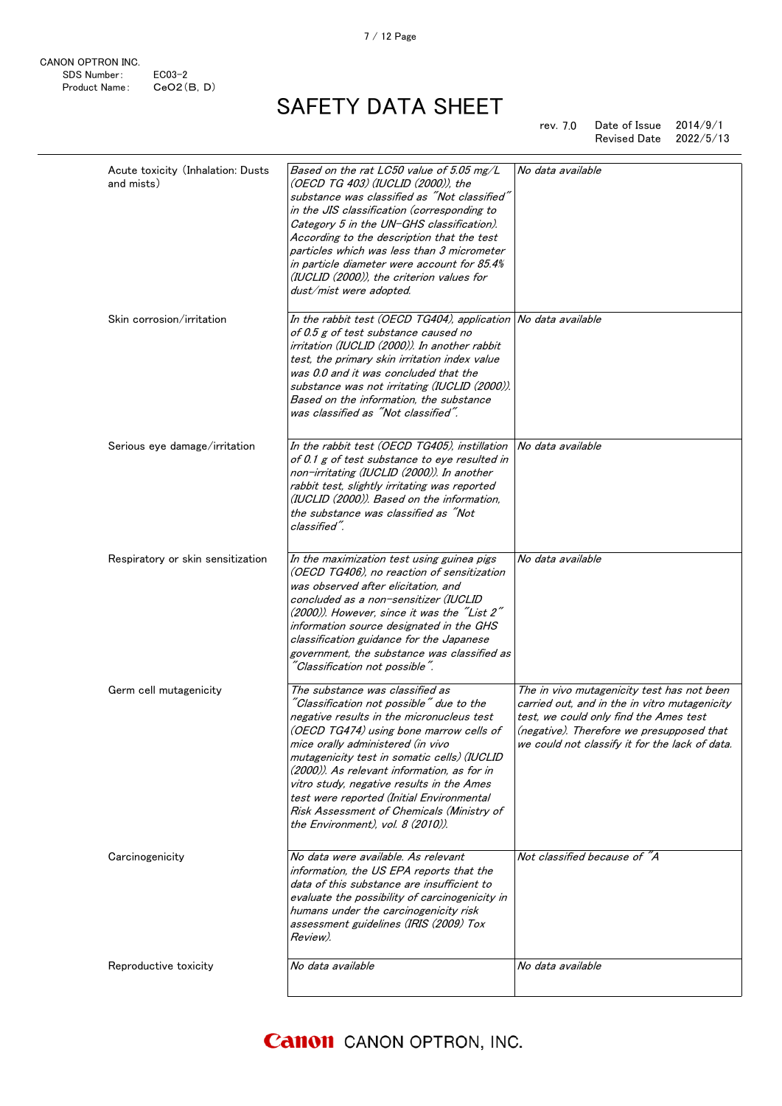CANON OPTRON INC. SDS Number: EC03-2<br>Product Name: CeO2(B, D) Product Name:

# SAFETY DATA SHEET

rev. 7.0 Date of Issue 2014/9/1 Revised Date 2022/5/13

| Acute toxicity (Inhalation: Dusts<br>and mists) | Based on the rat LC50 value of 5.05 mg/L<br>(OECD TG 403) (IUCLID (2000)), the<br>substance was classified as "Not classified"<br>in the JIS classification (corresponding to<br>Category 5 in the UN-GHS classification).<br>According to the description that the test<br>particles which was less than 3 micrometer<br>in particle diameter were account for 85.4%<br>(IUCLID (2000)), the criterion values for<br>dust/mist were adopted.                                      | No data available                                                                                                                                                                                                                    |
|-------------------------------------------------|------------------------------------------------------------------------------------------------------------------------------------------------------------------------------------------------------------------------------------------------------------------------------------------------------------------------------------------------------------------------------------------------------------------------------------------------------------------------------------|--------------------------------------------------------------------------------------------------------------------------------------------------------------------------------------------------------------------------------------|
| Skin corrosion/irritation                       | In the rabbit test (OECD TG404), application No data available<br>of 0.5 g of test substance caused no<br>irritation (IUCLID (2000)). In another rabbit<br>test, the primary skin irritation index value<br>was 0.0 and it was concluded that the<br>substance was not irritating (IUCLID (2000)).<br>Based on the information, the substance<br>was classified as "Not classified".                                                                                               |                                                                                                                                                                                                                                      |
| Serious eye damage/irritation                   | In the rabbit test (OECD TG405), instillation<br>of 0.1 g of test substance to eye resulted in<br>non-irritating (IUCLID (2000)). In another<br>rabbit test, slightly irritating was reported<br>(IUCLID (2000)). Based on the information,<br>the substance was classified as "Not<br>classified".                                                                                                                                                                                | No data available                                                                                                                                                                                                                    |
| Respiratory or skin sensitization               | In the maximization test using guinea pigs<br>(OECD TG406), no reaction of sensitization<br>was observed after elicitation, and<br>concluded as a non-sensitizer (IUCLID<br>(2000)). However, since it was the "List 2"<br>information source designated in the GHS<br>classification guidance for the Japanese<br>government, the substance was classified as<br>"Classification not possible".                                                                                   | No data available                                                                                                                                                                                                                    |
| Germ cell mutagenicity                          | The substance was classified as<br>"Classification not possible" due to the<br>negative results in the micronucleus test<br>(OECD TG474) using bone marrow cells of<br>mice orally administered (in vivo<br>mutagenicity test in somatic cells) (IUCLID<br>(2000)). As relevant information, as for in<br>vitro study, negative results in the Ames<br>test were reported (Initial Environmental<br>Risk Assessment of Chemicals (Ministry of<br>the Environment), vol. 8 (2010)). | The in vivo mutagenicity test has not been<br>carried out, and in the in vitro mutagenicity<br>test, we could only find the Ames test<br>(negative). Therefore we presupposed that<br>we could not classify it for the lack of data. |
| Carcinogenicity                                 | No data were available. As relevant<br>information, the US EPA reports that the<br>data of this substance are insufficient to<br>evaluate the possibility of carcinogenicity in<br>humans under the carcinogenicity risk<br>assessment guidelines (IRIS (2009) Tox<br>Review).                                                                                                                                                                                                     | Not classified because of "A                                                                                                                                                                                                         |
| Reproductive toxicity                           | No data available                                                                                                                                                                                                                                                                                                                                                                                                                                                                  | No data available                                                                                                                                                                                                                    |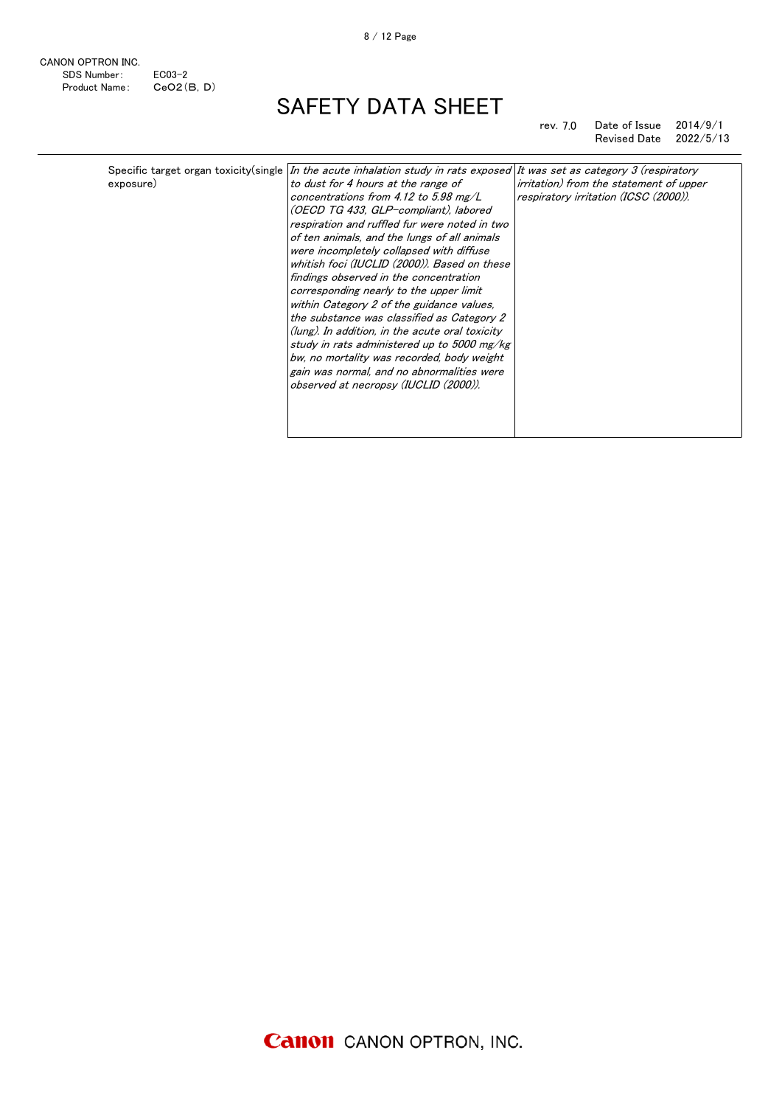CANON OPTRON INC. SDS Number: EC03-2 Product Name: CeO2(B,D)

# SAFETY DATA SHEET

### rev. 7.0 Date of Issue 2014/9/1 Revised Date 2022/5/13

| Specific target organ toxicity(single  In the acute inhalation study in rats exposed  It was set as category 3 (respiratory<br>exposure) |
|------------------------------------------------------------------------------------------------------------------------------------------|
|------------------------------------------------------------------------------------------------------------------------------------------|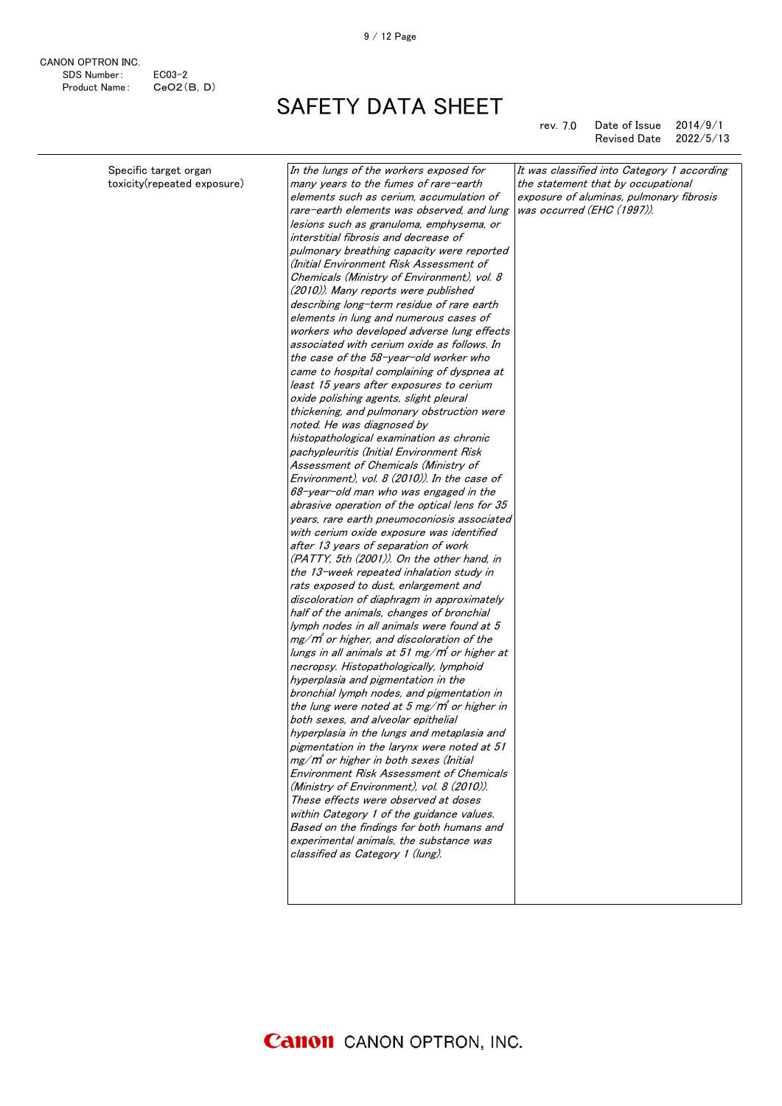CANON OPTRON INC. SDS Number: EC03-2 Product Name: CeO2(B,D)

SAFETY DATA SHEET

rev. 7.0 Date of Issue 2014/9/1 Revised Date 2022/5/13

| Specific target organ       | In the lungs of the workers exposed for         | It was classified into Category 1 according |
|-----------------------------|-------------------------------------------------|---------------------------------------------|
| toxicity(repeated exposure) | many years to the fumes of rare-earth           | the statement that by occupational          |
|                             | elements such as cerium, accumulation of        | exposure of aluminas, pulmonary fibrosis    |
|                             | rare-earth elements was observed, and lung      | was occurred (EHC (1997)).                  |
|                             | lesions such as granuloma, emphysema, or        |                                             |
|                             | interstitial fibrosis and decrease of           |                                             |
|                             | pulmonary breathing capacity were reported      |                                             |
|                             | (Initial Environment Risk Assessment of         |                                             |
|                             | Chemicals (Ministry of Environment), vol. 8     |                                             |
|                             | (2010)). Many reports were published            |                                             |
|                             | describing long-term residue of rare earth      |                                             |
|                             | elements in lung and numerous cases of          |                                             |
|                             | workers who developed adverse lung effects      |                                             |
|                             | associated with cerium oxide as follows. In     |                                             |
|                             | the case of the 58-year-old worker who          |                                             |
|                             | came to hospital complaining of dyspnea at      |                                             |
|                             | least 15 years after exposures to cerium        |                                             |
|                             | oxide polishing agents, slight pleural          |                                             |
|                             | thickening, and pulmonary obstruction were      |                                             |
|                             | noted. He was diagnosed by                      |                                             |
|                             | histopathological examination as chronic        |                                             |
|                             | pachypleuritis (Initial Environment Risk        |                                             |
|                             | Assessment of Chemicals (Ministry of            |                                             |
|                             | Environment), vol. 8 (2010)). In the case of    |                                             |
|                             | 68-year-old man who was engaged in the          |                                             |
|                             | abrasive operation of the optical lens for 35   |                                             |
|                             | years, rare earth pneumoconiosis associated     |                                             |
|                             | with cerium oxide exposure was identified       |                                             |
|                             | after 13 years of separation of work            |                                             |
|                             | (PATTY, 5th (2001)). On the other hand, in      |                                             |
|                             | the 13-week repeated inhalation study in        |                                             |
|                             | rats exposed to dust, enlargement and           |                                             |
|                             | discoloration of diaphragm in approximately     |                                             |
|                             | half of the animals, changes of bronchial       |                                             |
|                             | lymph nodes in all animals were found at 5      |                                             |
|                             | $mg/m$ or higher, and discoloration of the      |                                             |
|                             | lungs in all animals at 51 mg/m° or higher at   |                                             |
|                             | necropsy. Histopathologically, lymphoid         |                                             |
|                             | hyperplasia and pigmentation in the             |                                             |
|                             | bronchial lymph nodes, and pigmentation in      |                                             |
|                             | the lung were noted at 5 mg/ $m$ or higher in   |                                             |
|                             | both sexes, and alveolar epithelial             |                                             |
|                             | hyperplasia in the lungs and metaplasia and     |                                             |
|                             | pigmentation in the larynx were noted at 51     |                                             |
|                             | $mg/m$ or higher in both sexes (Initial         |                                             |
|                             | <b>Environment Risk Assessment of Chemicals</b> |                                             |
|                             | (Ministry of Environment), vol. 8 (2010)).      |                                             |
|                             | These effects were observed at doses            |                                             |
|                             | within Category 1 of the guidance values.       |                                             |
|                             | Based on the findings for both humans and       |                                             |
|                             | experimental animals, the substance was         |                                             |
|                             | classified as Category 1 (lung).                |                                             |
|                             |                                                 |                                             |
|                             |                                                 |                                             |
|                             |                                                 |                                             |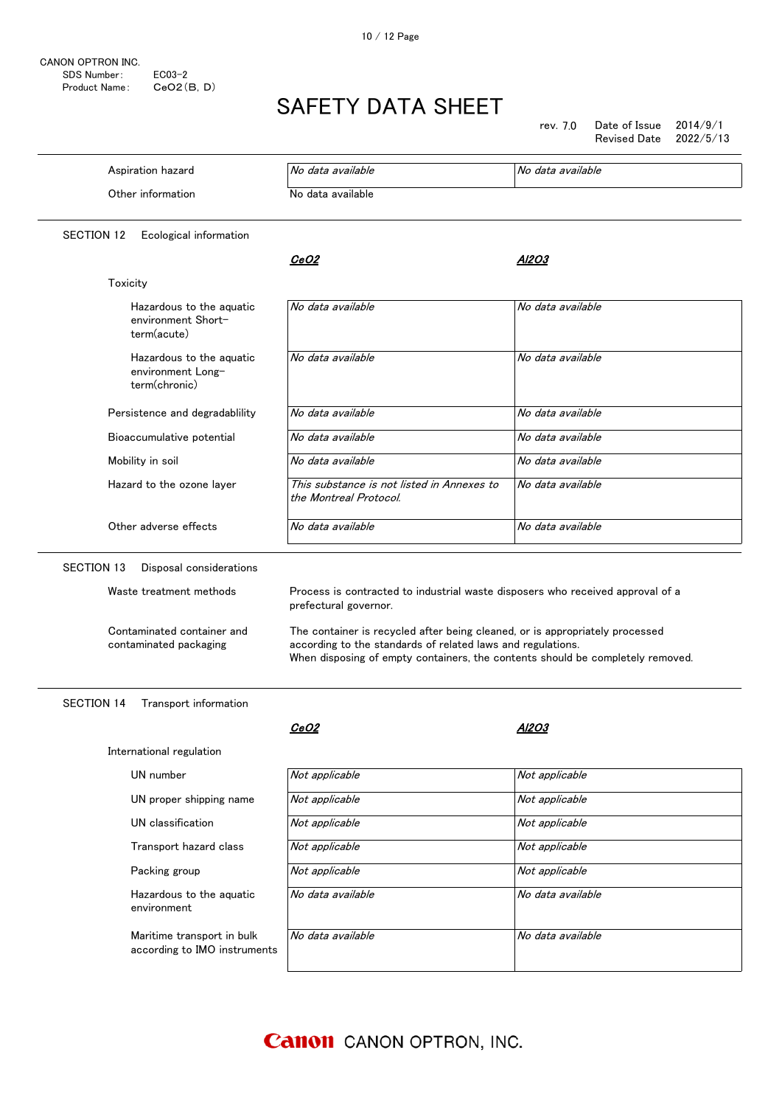CANON OPTRON INC. SDS Number: EC03-2<br>Product Name: CeO2(B, D) Product Name:

# SAFETY DATA SHEET

rev. 7.0 Date of Issue 2014/9/1 Revised Date 2022/5/13

| Aspiration hazard                                              | No data available                                                                                                                                                                                                             | No data available |  |
|----------------------------------------------------------------|-------------------------------------------------------------------------------------------------------------------------------------------------------------------------------------------------------------------------------|-------------------|--|
| Other information                                              | No data available                                                                                                                                                                                                             |                   |  |
| <b>SECTION 12</b><br>Ecological information                    |                                                                                                                                                                                                                               |                   |  |
|                                                                | <i>CeO2</i>                                                                                                                                                                                                                   | Al2O3             |  |
| Toxicity                                                       |                                                                                                                                                                                                                               |                   |  |
| Hazardous to the aguatic<br>environment Short-<br>term(acute)  | No data available                                                                                                                                                                                                             | No data available |  |
| Hazardous to the aquatic<br>environment Long-<br>term(chronic) | No data available                                                                                                                                                                                                             | No data available |  |
| Persistence and degradablility                                 | No data available                                                                                                                                                                                                             | No data available |  |
| Bioaccumulative potential                                      | No data available                                                                                                                                                                                                             | No data available |  |
| Mobility in soil                                               | No data available                                                                                                                                                                                                             | No data available |  |
| Hazard to the ozone layer                                      | This substance is not listed in Annexes to<br>the Montreal Protocol.                                                                                                                                                          | No data available |  |
| Other adverse effects                                          | No data available                                                                                                                                                                                                             | No data available |  |
| SECTION 13<br>Disposal considerations                          |                                                                                                                                                                                                                               |                   |  |
| Waste treatment methods                                        | Process is contracted to industrial waste disposers who received approval of a<br>prefectural governor.                                                                                                                       |                   |  |
| Contaminated container and<br>contaminated packaging           | The container is recycled after being cleaned, or is appropriately processed<br>according to the standards of related laws and regulations.<br>When disposing of empty containers, the contents should be completely removed. |                   |  |
| <b>SECTION 14</b><br>Transport information                     |                                                                                                                                                                                                                               |                   |  |
|                                                                | <u>CeO2</u>                                                                                                                                                                                                                   | Al203             |  |
| International regulation                                       |                                                                                                                                                                                                                               |                   |  |
| UN number                                                      | Not applicable                                                                                                                                                                                                                | Not applicable    |  |
| UN proper shipping name                                        | Not applicable                                                                                                                                                                                                                | Not applicable    |  |
| UN classification                                              | Not applicable                                                                                                                                                                                                                | Not applicable    |  |
| Transport hazard class                                         | Not applicable                                                                                                                                                                                                                | Not applicable    |  |
| Packing group                                                  | Not applicable                                                                                                                                                                                                                | Not applicable    |  |
| Hazardous to the aquatic                                       | No data available                                                                                                                                                                                                             | No data available |  |

Maritime transport in bulk according to IMO instruments

environment

**Canon** CANON OPTRON, INC.

No data available **No data** available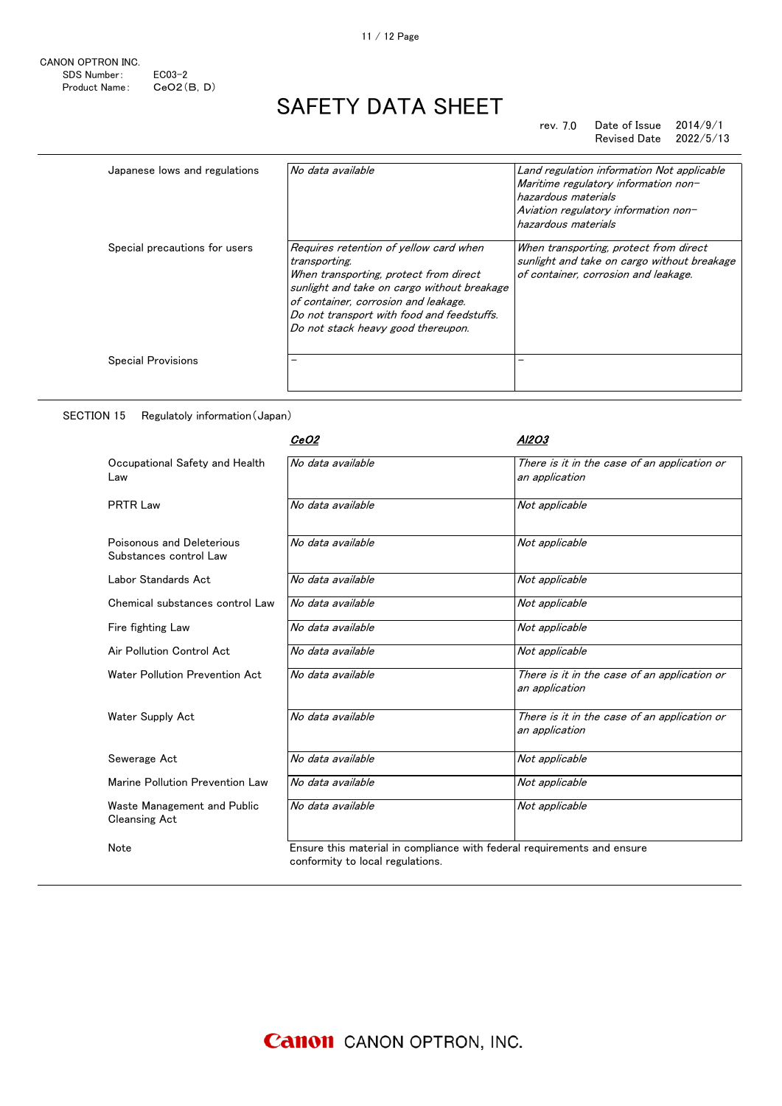### rev. 7.0 Date of Issue 2014/9/1 Revised Date 2022/5/13

| Japanese lows and regulations | No data available                                                                                                                                                                                                                                                            | Land regulation information Not applicable<br>Maritime regulatory information non-<br>hazardous materials<br>Aviation regulatory information non-<br>hazardous materials |
|-------------------------------|------------------------------------------------------------------------------------------------------------------------------------------------------------------------------------------------------------------------------------------------------------------------------|--------------------------------------------------------------------------------------------------------------------------------------------------------------------------|
| Special precautions for users | Requires retention of yellow card when<br>transporting.<br>When transporting, protect from direct<br>sunlight and take on cargo without breakage<br>of container, corrosion and leakage.<br>Do not transport with food and feedstuffs.<br>Do not stack heavy good thereupon. | When transporting, protect from direct<br>sunlight and take on cargo without breakage<br>of container, corrosion and leakage.                                            |
| <b>Special Provisions</b>     |                                                                                                                                                                                                                                                                              |                                                                                                                                                                          |

### SECTION 15 Regulatoly information(Japan)

|                                                     | <i>CeO2</i>                      | Al2O3                                                                   |
|-----------------------------------------------------|----------------------------------|-------------------------------------------------------------------------|
| Occupational Safety and Health<br>Law               | No data available                | There is it in the case of an application or<br>an application          |
| <b>PRTR Law</b>                                     | No data available                | Not applicable                                                          |
| Poisonous and Deleterious<br>Substances control Law | No data available                | Not applicable                                                          |
| Labor Standards Act                                 | No data available                | Not applicable                                                          |
| Chemical substances control Law                     | No data available                | Not applicable                                                          |
| Fire fighting Law                                   | No data available                | Not applicable                                                          |
| Air Pollution Control Act                           | No data available                | Not applicable                                                          |
| Water Pollution Prevention Act                      | No data available                | There is it in the case of an application or<br>an application          |
| Water Supply Act                                    | No data available                | There is it in the case of an application or<br>an application          |
| Sewerage Act                                        | No data available                | Not applicable                                                          |
| Marine Pollution Prevention Law                     | No data available                | Not applicable                                                          |
| Waste Management and Public<br><b>Cleansing Act</b> | No data available                | Not applicable                                                          |
| Note                                                | conformity to local regulations. | Ensure this material in compliance with federal requirements and ensure |